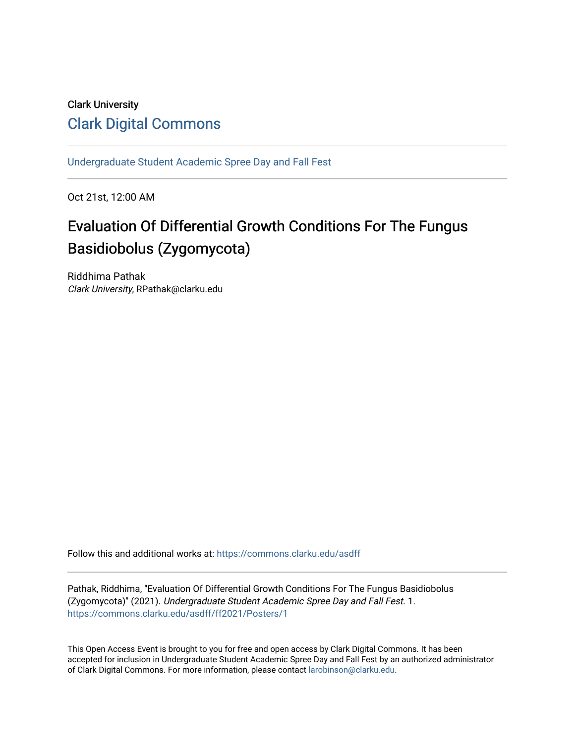# Clark University [Clark Digital Commons](https://commons.clarku.edu/)

[Undergraduate Student Academic Spree Day and Fall Fest](https://commons.clarku.edu/asdff) 

Oct 21st, 12:00 AM

# Evaluation Of Differential Growth Conditions For The Fungus Basidiobolus (Zygomycota)

Riddhima Pathak Clark University, RPathak@clarku.edu

Follow this and additional works at: [https://commons.clarku.edu/asdff](https://commons.clarku.edu/asdff?utm_source=commons.clarku.edu%2Fasdff%2Fff2021%2FPosters%2F1&utm_medium=PDF&utm_campaign=PDFCoverPages)

Pathak, Riddhima, "Evaluation Of Differential Growth Conditions For The Fungus Basidiobolus (Zygomycota)" (2021). Undergraduate Student Academic Spree Day and Fall Fest. 1. [https://commons.clarku.edu/asdff/ff2021/Posters/1](https://commons.clarku.edu/asdff/ff2021/Posters/1?utm_source=commons.clarku.edu%2Fasdff%2Fff2021%2FPosters%2F1&utm_medium=PDF&utm_campaign=PDFCoverPages) 

This Open Access Event is brought to you for free and open access by Clark Digital Commons. It has been accepted for inclusion in Undergraduate Student Academic Spree Day and Fall Fest by an authorized administrator of Clark Digital Commons. For more information, please contact [larobinson@clarku.edu](mailto:larobinson@clarku.edu).